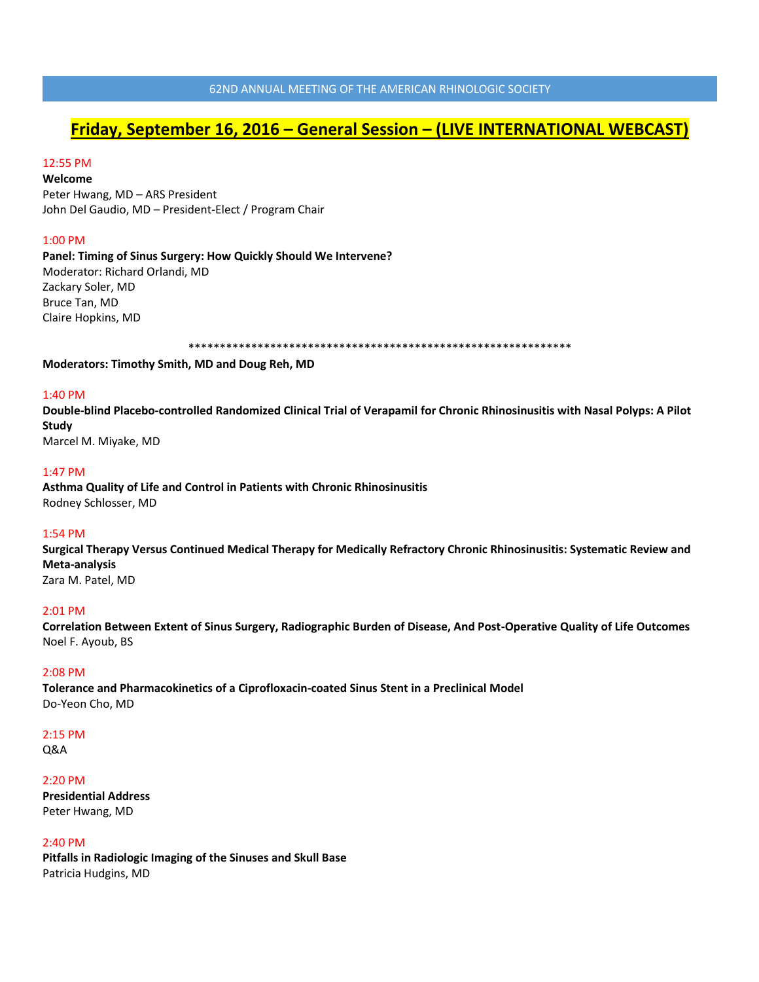# **Friday, September 16, 2016 – General Session – (LIVE INTERNATIONAL WEBCAST)**

# 12:55 PM

**Welcome** Peter Hwang, MD – ARS President John Del Gaudio, MD – President-Elect / Program Chair

#### 1:00 PM

**Panel: Timing of Sinus Surgery: How Quickly Should We Intervene?** Moderator: Richard Orlandi, MD Zackary Soler, MD Bruce Tan, MD Claire Hopkins, MD

\*\*\*\*\*\*\*\*\*\*\*\*\*\*\*\*\*\*\*\*\*\*\*\*\*\*\*\*\*\*\*\*\*\*\*\*\*\*\*\*\*\*\*\*\*\*\*\*\*\*\*\*\*\*\*\*\*\*\*\*\*

**Moderators: Timothy Smith, MD and Doug Reh, MD**

## 1:40 PM

**Double-blind Placebo-controlled Randomized Clinical Trial of Verapamil for Chronic Rhinosinusitis with Nasal Polyps: A Pilot Study**

Marcel M. Miyake, MD

## 1:47 PM

**Asthma Quality of Life and Control in Patients with Chronic Rhinosinusitis** Rodney Schlosser, MD

## 1:54 PM

**Surgical Therapy Versus Continued Medical Therapy for Medically Refractory Chronic Rhinosinusitis: Systematic Review and Meta-analysis**

Zara M. Patel, MD

## 2:01 PM

**Correlation Between Extent of Sinus Surgery, Radiographic Burden of Disease, And Post-Operative Quality of Life Outcomes** Noel F. Ayoub, BS

#### 2:08 PM

**Tolerance and Pharmacokinetics of a Ciprofloxacin-coated Sinus Stent in a Preclinical Model** Do-Yeon Cho, MD

#### 2:15 PM

Q&A

# 2:20 PM

**Presidential Address** Peter Hwang, MD

#### 2:40 PM

**Pitfalls in Radiologic Imaging of the Sinuses and Skull Base** Patricia Hudgins, MD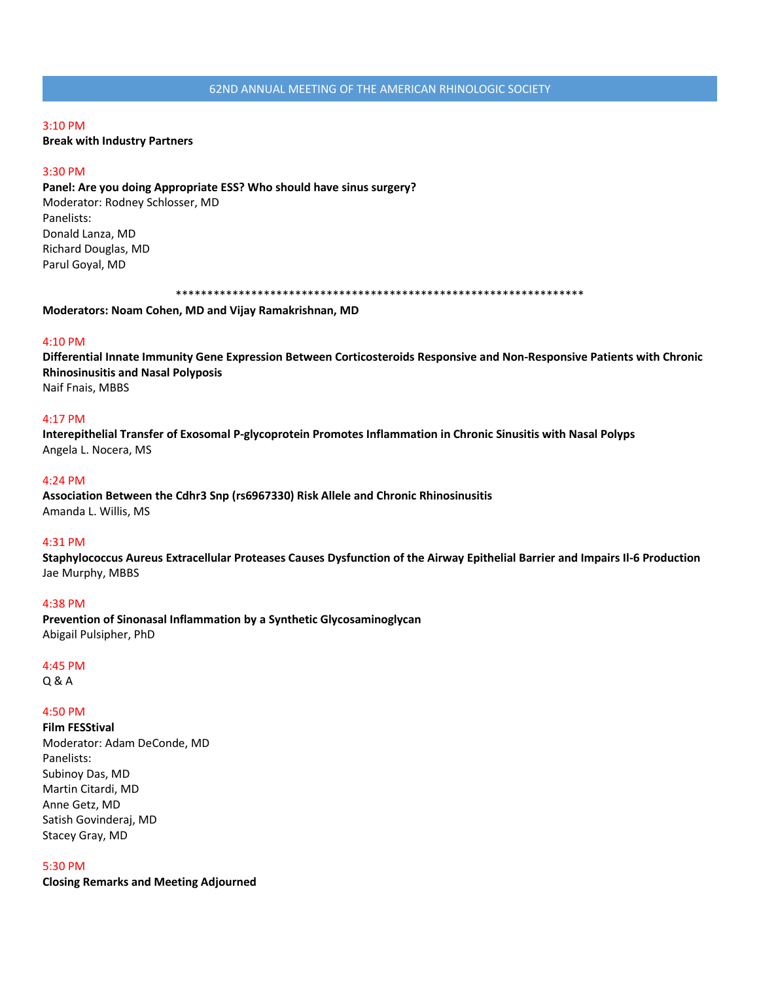#### 3:10 PM

**Break with Industry Partners**

#### 3:30 PM

**Panel: Are you doing Appropriate ESS? Who should have sinus surgery?** Moderator: Rodney Schlosser, MD Panelists: Donald Lanza, MD Richard Douglas, MD Parul Goyal, MD

\*\*\*\*\*\*\*\*\*\*\*\*\*\*\*\*\*\*\*\*\*\*\*\*\*\*\*\*\*\*\*\*\*\*\*\*\*\*\*\*\*\*\*\*\*\*\*\*\*\*\*\*\*\*\*\*\*\*\*\*\*\*\*\*\*

**Moderators: Noam Cohen, MD and Vijay Ramakrishnan, MD**

#### 4:10 PM

**Differential Innate Immunity Gene Expression Between Corticosteroids Responsive and Non-Responsive Patients with Chronic Rhinosinusitis and Nasal Polyposis** Naif Fnais, MBBS

#### 4:17 PM

**Interepithelial Transfer of Exosomal P-glycoprotein Promotes Inflammation in Chronic Sinusitis with Nasal Polyps** Angela L. Nocera, MS

#### 4:24 PM

**Association Between the Cdhr3 Snp (rs6967330) Risk Allele and Chronic Rhinosinusitis** Amanda L. Willis, MS

#### 4:31 PM

**Staphylococcus Aureus Extracellular Proteases Causes Dysfunction of the Airway Epithelial Barrier and Impairs Il-6 Production** Jae Murphy, MBBS

#### 4:38 PM

**Prevention of Sinonasal Inflammation by a Synthetic Glycosaminoglycan** Abigail Pulsipher, PhD

#### 4:45 PM

Q & A

#### 4:50 PM

**Film FESStival** Moderator: Adam DeConde, MD Panelists: Subinoy Das, MD Martin Citardi, MD Anne Getz, MD Satish Govinderaj, MD Stacey Gray, MD

#### 5:30 PM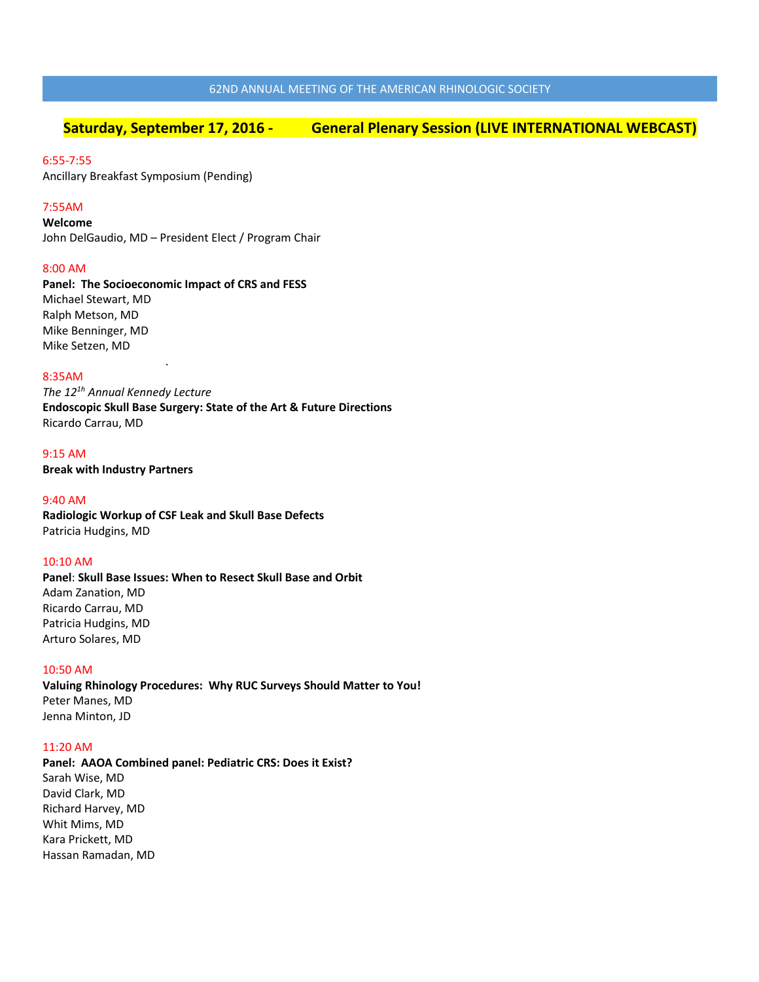# **Saturday, September 17, 2016 - General Plenary Session (LIVE INTERNATIONAL WEBCAST)**

## 6:55-7:55

Ancillary Breakfast Symposium (Pending)

# 7:55AM

**Welcome** John DelGaudio, MD – President Elect / Program Chair

## 8:00 AM

**Panel: The Socioeconomic Impact of CRS and FESS**  Michael Stewart, MD Ralph Metson, MD Mike Benninger, MD Mike Setzen, MD

## 8:35AM

*The 121h Annual Kennedy Lecture* **Endoscopic Skull Base Surgery: State of the Art & Future Directions** Ricardo Carrau, MD

9:15 AM **Break with Industry Partners**

.

#### 9:40 AM

**Radiologic Workup of CSF Leak and Skull Base Defects**  Patricia Hudgins, MD

#### 10:10 AM

**Panel**: **Skull Base Issues: When to Resect Skull Base and Orbit** Adam Zanation, MD Ricardo Carrau, MD Patricia Hudgins, MD Arturo Solares, MD

## 10:50 AM

**Valuing Rhinology Procedures: Why RUC Surveys Should Matter to You!** Peter Manes, MD Jenna Minton, JD

#### 11:20 AM

**Panel: AAOA Combined panel: Pediatric CRS: Does it Exist?**  Sarah Wise, MD David Clark, MD Richard Harvey, MD Whit Mims, MD Kara Prickett, MD Hassan Ramadan, MD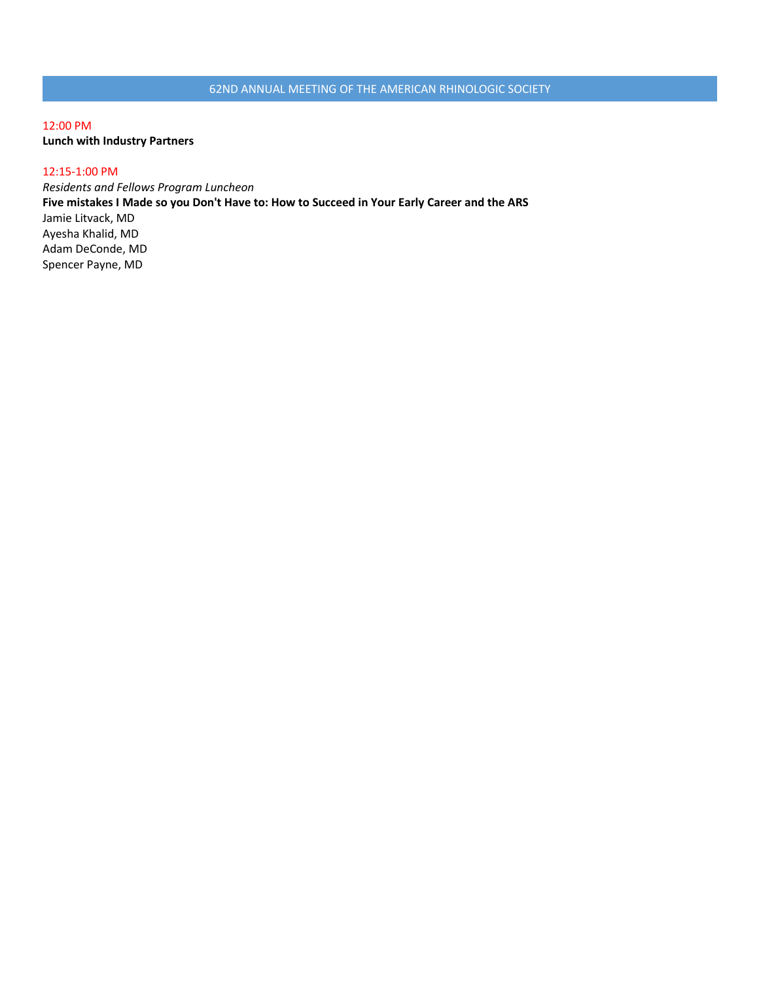12:00 PM **Lunch with Industry Partners**

# 12:15-1:00 PM

*Residents and Fellows Program Luncheon*  **Five mistakes I Made so you Don't Have to: How to Succeed in Your Early Career and the ARS** Jamie Litvack, MD Ayesha Khalid, MD Adam DeConde, MD Spencer Payne, MD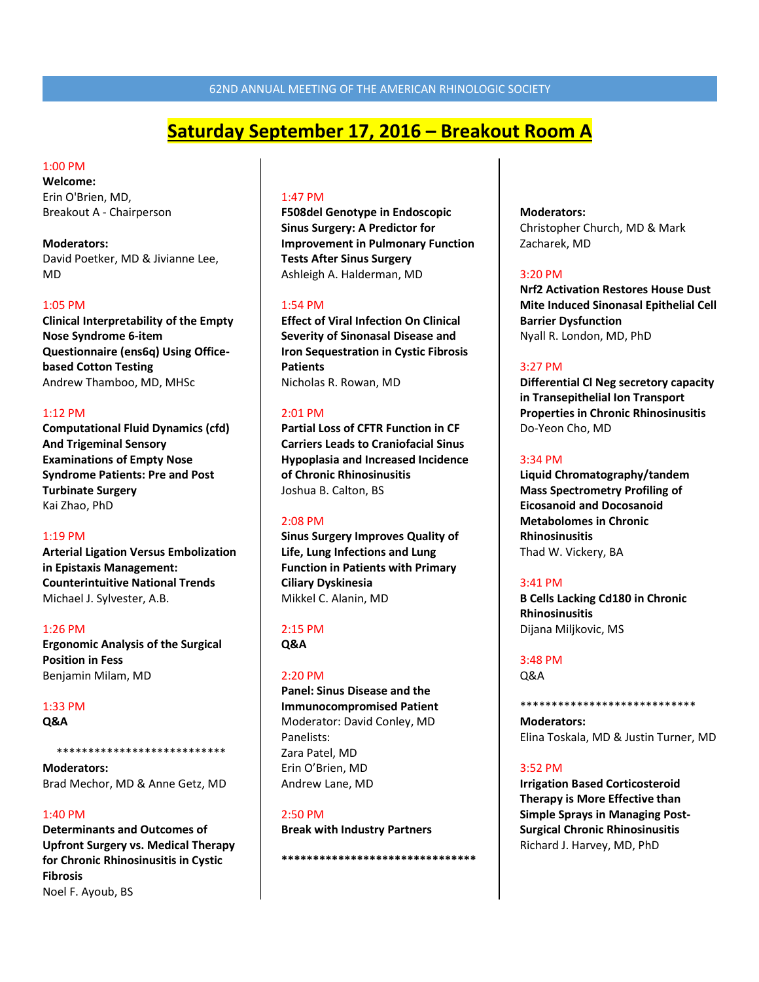# **Saturday September 17, 2016 – Breakout Room A**

## 1:00 PM

**Welcome:**  Erin O'Brien, MD, Breakout A - Chairperson

**Moderators:**  David Poetker, MD & Jivianne Lee, MD

## 1:05 PM

**Clinical Interpretability of the Empty Nose Syndrome 6-item Questionnaire (ens6q) Using Officebased Cotton Testing** Andrew Thamboo, MD, MHSc

## 1:12 PM

**Computational Fluid Dynamics (cfd) And Trigeminal Sensory Examinations of Empty Nose Syndrome Patients: Pre and Post Turbinate Surgery** Kai Zhao, PhD

#### 1:19 PM

**Arterial Ligation Versus Embolization in Epistaxis Management: Counterintuitive National Trends** Michael J. Sylvester, A.B.

1:26 PM **Ergonomic Analysis of the Surgical Position in Fess** Benjamin Milam, MD

## 1:33 PM

**Q&A** 

**Moderators:**  Brad Mechor, MD & Anne Getz, MD

\*\*\*\*\*\*\*\*\*\*\*\*\*\*\*\*\*\*\*\*\*\*\*\*\*\*\*

#### 1:40 PM

**Determinants and Outcomes of Upfront Surgery vs. Medical Therapy for Chronic Rhinosinusitis in Cystic Fibrosis** Noel F. Ayoub, BS

#### 1:47 PM

**F508del Genotype in Endoscopic Sinus Surgery: A Predictor for Improvement in Pulmonary Function Tests After Sinus Surgery** Ashleigh A. Halderman, MD

## 1:54 PM

**Effect of Viral Infection On Clinical Severity of Sinonasal Disease and Iron Sequestration in Cystic Fibrosis Patients** Nicholas R. Rowan, MD

## 2:01 PM

**Partial Loss of CFTR Function in CF Carriers Leads to Craniofacial Sinus Hypoplasia and Increased Incidence of Chronic Rhinosinusitis** Joshua B. Calton, BS

#### 2:08 PM

**Sinus Surgery Improves Quality of Life, Lung Infections and Lung Function in Patients with Primary Ciliary Dyskinesia** Mikkel C. Alanin, MD

## 2:15 PM

**Q&A** 

## 2:20 PM

**Panel: Sinus Disease and the Immunocompromised Patient**  Moderator: David Conley, MD Panelists: Zara Patel, MD Erin O'Brien, MD Andrew Lane, MD

## 2:50 PM

**Break with Industry Partners**

**\*\*\*\*\*\*\*\*\*\*\*\*\*\*\*\*\*\*\*\*\*\*\*\*\*\*\*\*\*\*\***

## **Moderators:**

Christopher Church, MD & Mark Zacharek, MD

## 3:20 PM

**Nrf2 Activation Restores House Dust Mite Induced Sinonasal Epithelial Cell Barrier Dysfunction** Nyall R. London, MD, PhD

## 3:27 PM

**Differential Cl Neg secretory capacity in Transepithelial Ion Transport Properties in Chronic Rhinosinusitis** Do-Yeon Cho, MD

## 3:34 PM

**Liquid Chromatography/tandem Mass Spectrometry Profiling of Eicosanoid and Docosanoid Metabolomes in Chronic Rhinosinusitis** Thad W. Vickery, BA

#### 3:41 PM

**B Cells Lacking Cd180 in Chronic Rhinosinusitis** Dijana Miljkovic, MS

# 3:48 PM

Q&A

\*\*\*\*\*\*\*\*\*\*\*\*\*\*\*\*\*\*\*\*\*\*\*\*\*\*\*\* **Moderators:**

Elina Toskala, MD & Justin Turner, MD

## 3:52 PM

**Irrigation Based Corticosteroid Therapy is More Effective than Simple Sprays in Managing Post-Surgical Chronic Rhinosinusitis** Richard J. Harvey, MD, PhD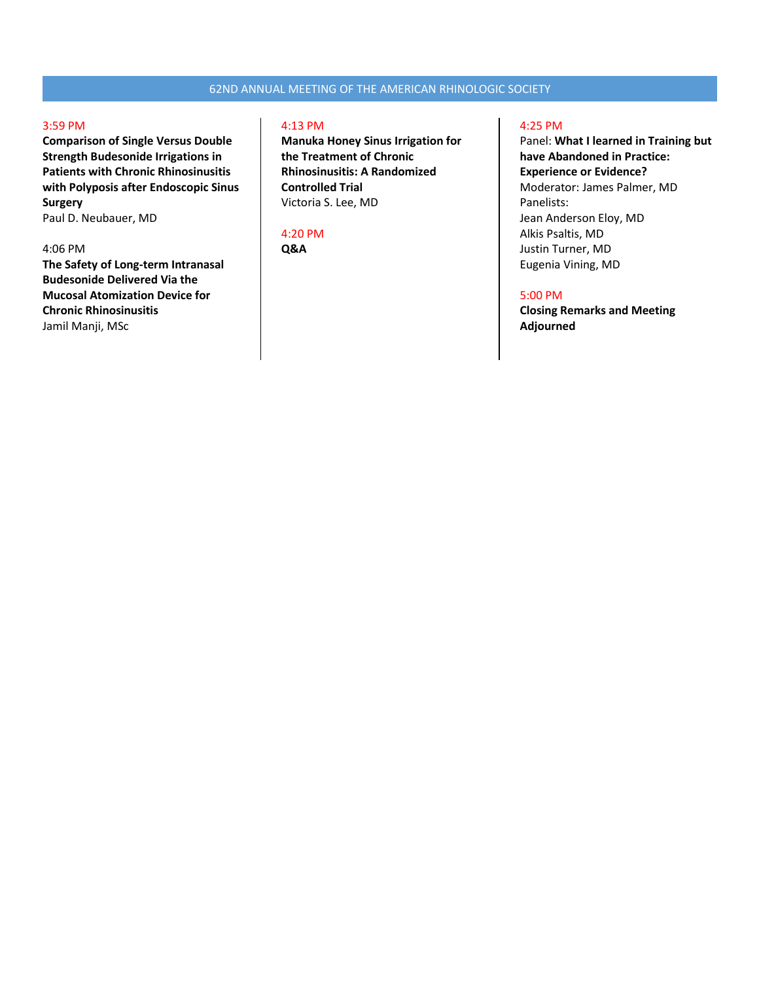#### 3:59 PM

**Comparison of Single Versus Double Strength Budesonide Irrigations in Patients with Chronic Rhinosinusitis with Polyposis after Endoscopic Sinus Surgery**

Paul D. Neubauer, MD

## 4:06 PM

**The Safety of Long-term Intranasal Budesonide Delivered Via the Mucosal Atomization Device for Chronic Rhinosinusitis** Jamil Manji, MSc

# 4:13 PM

**Manuka Honey Sinus Irrigation for the Treatment of Chronic Rhinosinusitis: A Randomized Controlled Trial** Victoria S. Lee, MD

#### 4:20 PM

**Q&A**

#### 4:25 PM

Panel: **What I learned in Training but have Abandoned in Practice: Experience or Evidence?** Moderator: James Palmer, MD Panelists: Jean Anderson Eloy, MD Alkis Psaltis, MD Justin Turner, MD Eugenia Vining, MD

## 5:00 PM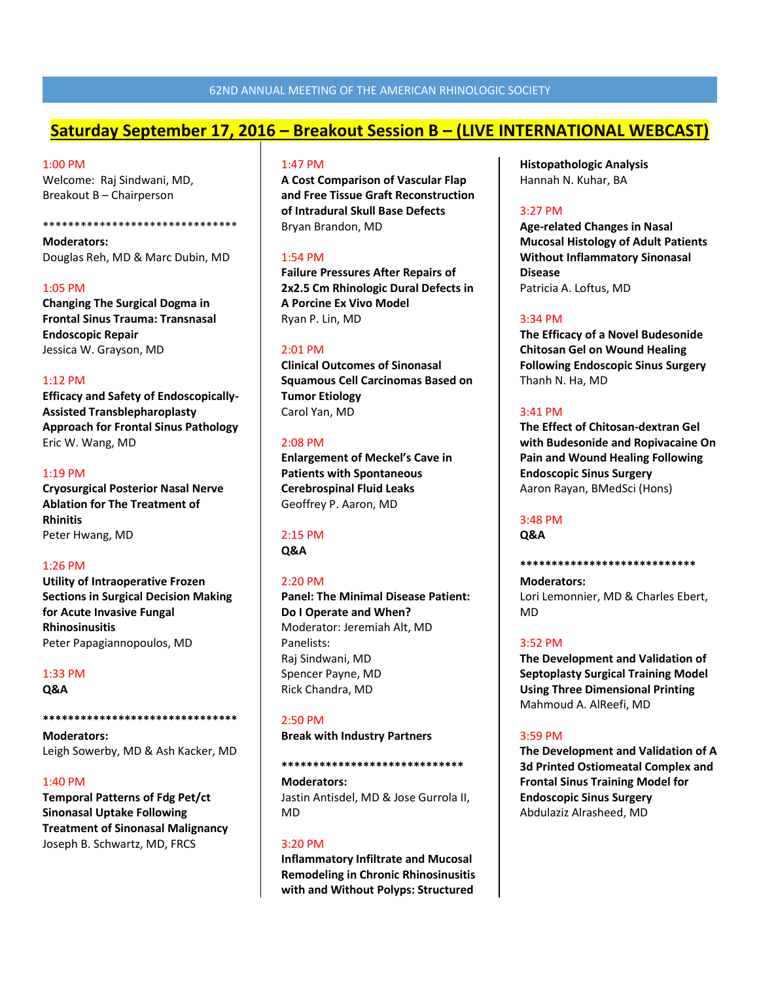# **Saturday September 17, 2016 – Breakout Session B – (LIVE INTERNATIONAL WEBCAST)**

## 1:00 PM

Welcome: Raj Sindwani, MD, Breakout B – Chairperson

**Moderators:**  Douglas Reh, MD & Marc Dubin, MD

\*\*\*\*\*\*\*\*\*\*\*\*\*\*\*\*\*\*\*\*\*\*\*\*\*\*\*\*\*\*\*

1:05 PM **Changing The Surgical Dogma in Frontal Sinus Trauma: Transnasal Endoscopic Repair** Jessica W. Grayson, MD

1:12 PM **Efficacy and Safety of Endoscopically-Assisted Transblepharoplasty Approach for Frontal Sinus Pathology** Eric W. Wang, MD

#### 1:19 PM

**Cryosurgical Posterior Nasal Nerve Ablation for The Treatment of Rhinitis** Peter Hwang, MD

#### 1:26 PM

**Utility of Intraoperative Frozen Sections in Surgical Decision Making for Acute Invasive Fungal Rhinosinusitis** Peter Papagiannopoulos, MD

#### 1:33 PM

**Q&A** 

**\*\*\*\*\*\*\*\*\*\*\*\*\*\*\*\*\*\*\*\*\*\*\*\*\*\*\*\*\*\*\***

**Moderators:**  Leigh Sowerby, MD & Ash Kacker, MD

#### 1:40 PM

**Temporal Patterns of Fdg Pet/ct Sinonasal Uptake Following Treatment of Sinonasal Malignancy** Joseph B. Schwartz, MD, FRCS

## 1:47 PM

**A Cost Comparison of Vascular Flap and Free Tissue Graft Reconstruction of Intradural Skull Base Defects** Bryan Brandon, MD

## 1:54 PM

**Failure Pressures After Repairs of 2x2.5 Cm Rhinologic Dural Defects in A Porcine Ex Vivo Model** Ryan P. Lin, MD

#### 2:01 PM

**Clinical Outcomes of Sinonasal Squamous Cell Carcinomas Based on Tumor Etiology**  Carol Yan, MD

## 2:08 PM

**Enlargement of Meckel's Cave in Patients with Spontaneous Cerebrospinal Fluid Leaks** Geoffrey P. Aaron, MD

#### 2:15 PM **Q&A**

## $2:20$  PM

**Panel: The Minimal Disease Patient: Do I Operate and When?** Moderator: Jeremiah Alt, MD Panelists: Raj Sindwani, MD Spencer Payne, MD Rick Chandra, MD

#### 2:50 PM

**Break with Industry Partners**

#### **\*\*\*\*\*\*\*\*\*\*\*\*\*\*\*\*\*\*\*\*\*\*\*\*\*\*\*\*\***

**Moderators:**  Jastin Antisdel, MD & Jose Gurrola II, MD

## 3:20 PM

**Inflammatory Infiltrate and Mucosal Remodeling in Chronic Rhinosinusitis with and Without Polyps: Structured** 

**Histopathologic Analysis** Hannah N. Kuhar, BA

## 3:27 PM

**Age-related Changes in Nasal Mucosal Histology of Adult Patients Without Inflammatory Sinonasal Disease** Patricia A. Loftus, MD

#### 3:34 PM

**The Efficacy of a Novel Budesonide Chitosan Gel on Wound Healing Following Endoscopic Sinus Surgery** Thanh N. Ha, MD

## 3:41 PM

**The Effect of Chitosan-dextran Gel with Budesonide and Ropivacaine On Pain and Wound Healing Following Endoscopic Sinus Surgery** Aaron Rayan, BMedSci (Hons)

# 3:48 PM

**Q&A**

#### **\*\*\*\*\*\*\*\*\*\*\*\*\*\*\*\*\*\*\*\*\*\*\*\*\*\*\*\***

**Moderators:** Lori Lemonnier, MD & Charles Ebert, MD

#### 3:52 PM

**The Development and Validation of Septoplasty Surgical Training Model Using Three Dimensional Printing** Mahmoud A. AlReefi, MD

## 3:59 PM

**The Development and Validation of A 3d Printed Ostiomeatal Complex and Frontal Sinus Training Model for Endoscopic Sinus Surgery** Abdulaziz Alrasheed, MD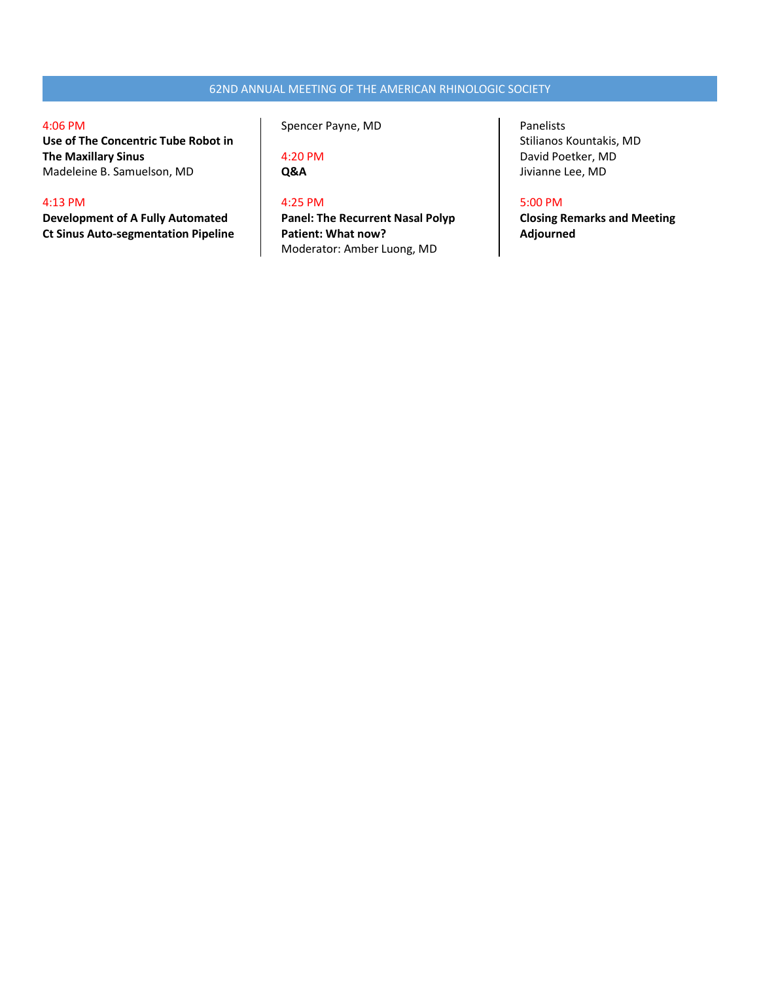## 4:06 PM

**Use of The Concentric Tube Robot in The Maxillary Sinus** Madeleine B. Samuelson, MD

# 4:13 PM

**Development of A Fully Automated Ct Sinus Auto-segmentation Pipeline** Spencer Payne, MD

4:20 PM **Q&A**

# 4:25 PM

**Panel: The Recurrent Nasal Polyp Patient: What now?**  Moderator: Amber Luong, MD

Panelists Stilianos Kountakis, MD David Poetker, MD Jivianne Lee, MD

# 5:00 PM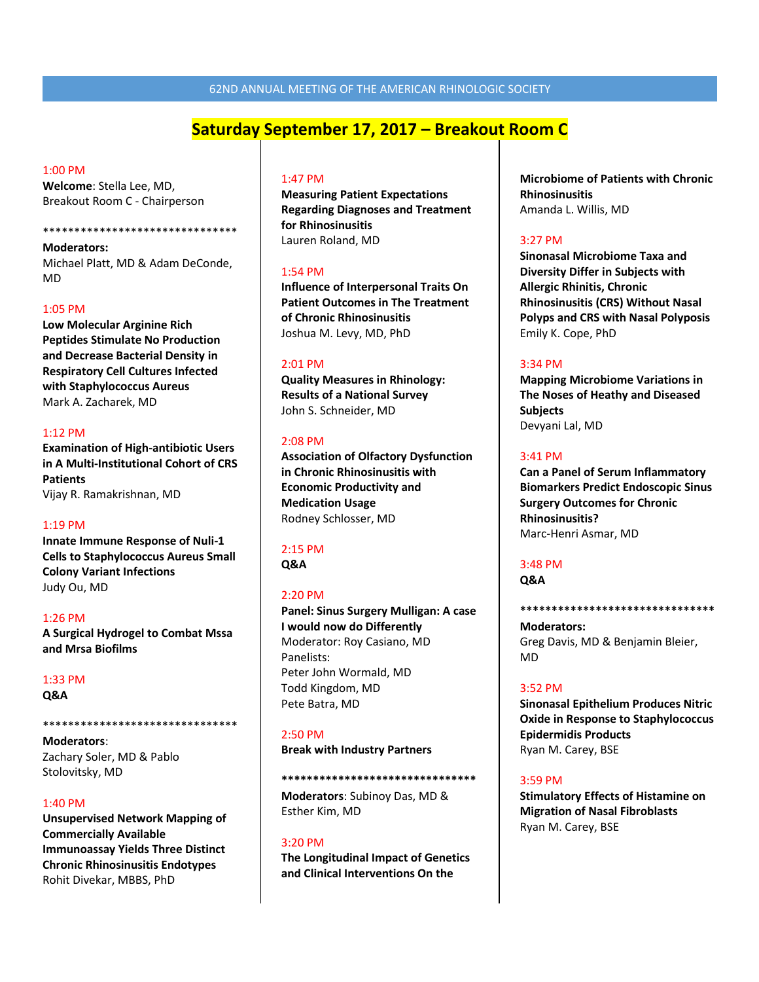# **Saturday September 17, 2017 – Breakout Room C**

#### 1:00 PM

**Welcome**: Stella Lee, MD, Breakout Room C - Chairperson

#### \*\*\*\*\*\*\*\*\*\*\*\*\*\*\*\*\*\*\*\*\*\*\*\*\*\*\*\*\*\*\*

**Moderators:**  Michael Platt, MD & Adam DeConde, MD

#### 1:05 PM

**Low Molecular Arginine Rich Peptides Stimulate No Production and Decrease Bacterial Density in Respiratory Cell Cultures Infected with Staphylococcus Aureus** Mark A. Zacharek, MD

#### 1:12 PM

**Examination of High-antibiotic Users in A Multi-Institutional Cohort of CRS Patients** Vijay R. Ramakrishnan, MD

#### 1:19 PM

**Innate Immune Response of Nuli-1 Cells to Staphylococcus Aureus Small Colony Variant Infections** Judy Ou, MD

1:26 PM **A Surgical Hydrogel to Combat Mssa and Mrsa Biofilms**

#### 1:33 PM

**Q&A** 

# \*\*\*\*\*\*\*\*\*\*\*\*\*\*\*\*\*\*\*\*\*\*\*\*\*\*\*\*\*\*\*

**Moderators**: Zachary Soler, MD & Pablo Stolovitsky, MD

#### 1:40 PM

**Unsupervised Network Mapping of Commercially Available Immunoassay Yields Three Distinct Chronic Rhinosinusitis Endotypes** Rohit Divekar, MBBS, PhD

#### 1:47 PM

**Measuring Patient Expectations Regarding Diagnoses and Treatment for Rhinosinusitis** Lauren Roland, MD

#### 1:54 PM

**Influence of Interpersonal Traits On Patient Outcomes in The Treatment of Chronic Rhinosinusitis** Joshua M. Levy, MD, PhD

#### 2:01 PM

**Quality Measures in Rhinology: Results of a National Survey** John S. Schneider, MD

#### 2:08 PM

**Association of Olfactory Dysfunction in Chronic Rhinosinusitis with Economic Productivity and Medication Usage** Rodney Schlosser, MD

## 2:15 PM

**Q&A** 

#### 2:20 PM

**Panel: Sinus Surgery Mulligan: A case I would now do Differently** Moderator: Roy Casiano, MD Panelists: Peter John Wormald, MD Todd Kingdom, MD Pete Batra, MD

#### 2:50 PM

**Break with Industry Partners**

#### **\*\*\*\*\*\*\*\*\*\*\*\*\*\*\*\*\*\*\*\*\*\*\*\*\*\*\*\*\*\*\***

**Moderators**: Subinoy Das, MD & Esther Kim, MD

#### 3:20 PM

**The Longitudinal Impact of Genetics and Clinical Interventions On the**

**Microbiome of Patients with Chronic Rhinosinusitis** Amanda L. Willis, MD

#### 3:27 PM

**Sinonasal Microbiome Taxa and Diversity Differ in Subjects with Allergic Rhinitis, Chronic Rhinosinusitis (CRS) Without Nasal Polyps and CRS with Nasal Polyposis** Emily K. Cope, PhD

#### 3:34 PM

**Mapping Microbiome Variations in The Noses of Heathy and Diseased Subjects** Devyani Lal, MD

## 3:41 PM

**Can a Panel of Serum Inflammatory Biomarkers Predict Endoscopic Sinus Surgery Outcomes for Chronic Rhinosinusitis?** Marc-Henri Asmar, MD

## 3:48 PM

**Q&A**

**\*\*\*\*\*\*\*\*\*\*\*\*\*\*\*\*\*\*\*\*\*\*\*\*\*\*\*\*\*\*\***

## **Moderators:** Greg Davis, MD & Benjamin Bleier, MD

#### 3:52 PM

**Sinonasal Epithelium Produces Nitric Oxide in Response to Staphylococcus Epidermidis Products** Ryan M. Carey, BSE

#### 3:59 PM

**Stimulatory Effects of Histamine on Migration of Nasal Fibroblasts** Ryan M. Carey, BSE